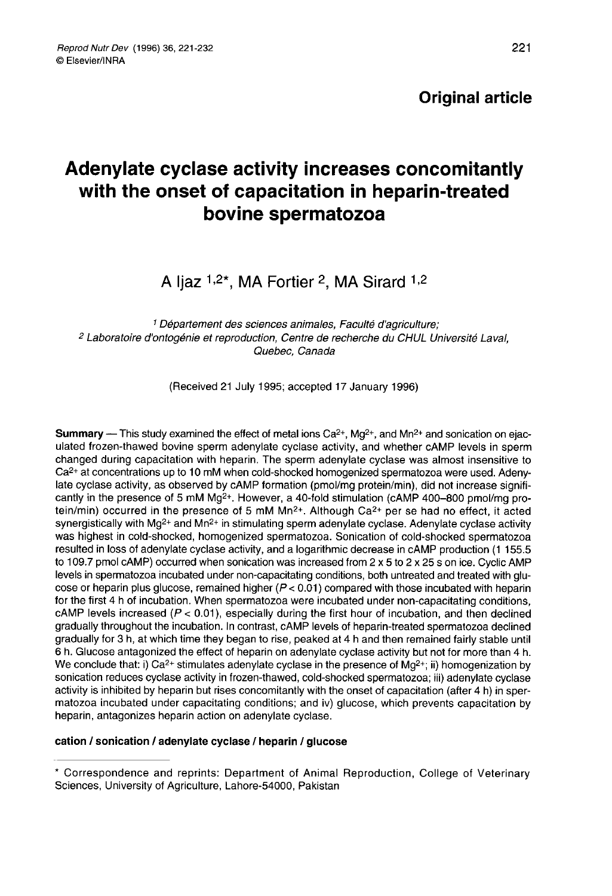# Adenylate cyclase activity increases concomitantly with the onset of capacitation in heparin-treated bovine spermatozoa

A Ijaz  $1,2^*$ , MA Fortier 2, MA Sirard  $1,2$ 

1 Département des sciences animales, Faculté d'agriculture; <sup>2</sup> Laboratoire d'ontogénie et reproduction, Centre de recherche du CHUL Université Laval, Quebec, Canada

(Received 21 July 1995; accepted 17 January 1996)

**Summary** — This study examined the effect of metal ions  $Ca^{2+}$ , Mg<sup>2+</sup>, and Mn<sup>2+</sup> and sonication on ejaculated frozen-thawed bovine sperm adenylate cyclase activity, and whether cAMP levels in sperm changed during capacitation with heparin. The sperm adenylate cyclase was almost insensitive to Ca2+ at concentrations up to 10 mM when cold-shocked homogenized spermatozoa were used. Adeny-Ca<sup>2+</sup> at concentrations up to 10 mM when cold-shocked homogenized spermatozoa were used. Adeny-<br>late cyclase activity, as observed by cAMP formation (pmol/mg protein/min), did not increase signifi-<br>cantly in the presence late cyclase activity, as observed by cAMP formation (pmol/mg protein/min), did not increase significantly in the presence of 5 mM Mg<sup>2+</sup>. However, a 40-fold stimulation (cAMP 400–800 pmol/mg protein/min) occurred in the cantly in the presence or 5 mm Mg<sup>2+</sup>. However, a 40-fold stimulation (CAMP 400–800 pmol/mg pro-<br>tein/min) occurred in the presence of 5 mM Mn<sup>2+</sup>. Although Ca<sup>2+</sup> per se had no effect, it acted<br>synergistically with Mg<sup>2+</sup> resulted in loss of adenylate cyclase activity, and a logarithmic decrease in cAMP production (1 155.5 to 109.7 pmol cAMP) occurred when sonication was increased from 2 x 5 to 2 x 25 s on ice. Cyclic AMP levels in spermatozoa incubated under non-capacitating conditions, both untreated and treated with glu cose or heparin plus glucose, remained higher  $(P < 0.01)$  compared with those incubated with heparin<br>for the first 4 h of incubation. When spermatozoa were incubated under non-capacitating conditions. cAMP levels increased ( $P < 0.01$ ), especially during the first hour of incubation, and then declined gradually throughout the incubation. In contrast, cAMP levels of heparin-treated spermatozoa declined gradually for 3 h, at which time they began to rise, peaked at 4 h and then remained fairly stable until gradually for 3 h, at which time they began to rise, peaked at 4 h and then remained fairly stable until<br>6 h. Glucose antagonized the effect of heparin on adenylate cyclase activity but not for more than 4 h.<br>We conclude t sonication reduces cyclase activity in frozen-thawed, cold-shocked spermatozoa; iii) adenylate cyclase activity is inhibited by heparin but rises concomitantly with the onset of capacitation (after 4 h) in sper matozoa incubated under capacitating conditions; and iv) glucose, which prevents capacitation by heparin, antagonizes heparin action on adenylate cyclase.

#### cation / sonication / adenylate cyclase / heparin / glucose

<sup>\*</sup> Correspondence and reprints: Department of Animal Reproduction, College of Veterinary Sciences, University of Agriculture, Lahore-54000, Pakistan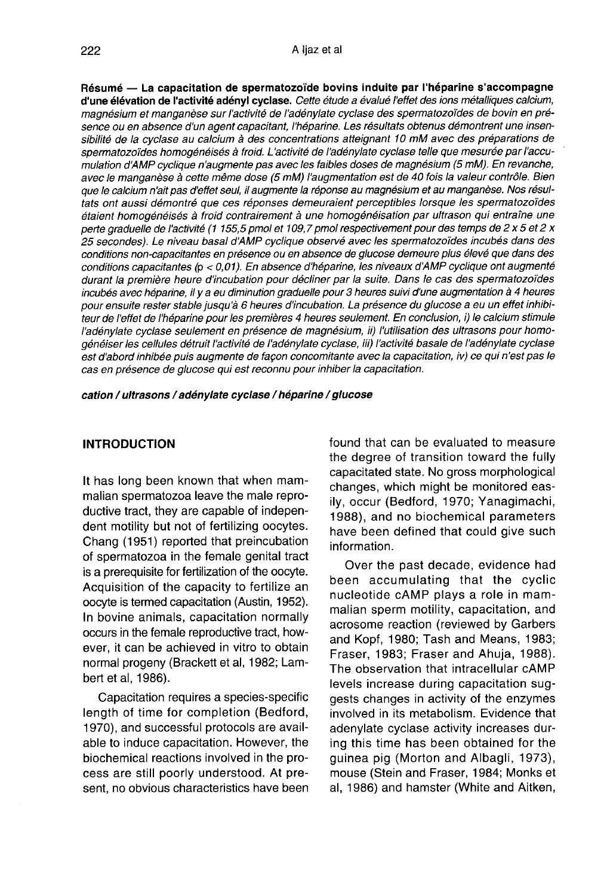Résumé - La capacitation de spermatozoïde bovins induite par l'héparine s'accompagne d'une élévation de l'activité adényl cyclase. Cette étude a évalué l'effet des ions métalliques calcium,<br>magnésium et manganèse sur l'activité de l'adénylate cyclase des spermatozoïdes de bovin en présence ou en absence d'un agent capacitant, l'héparine. Les résultats obtenus démontrent une insensibilité de la cyclase au calcium à des concentrations atteignant 10 mM avec des préparations de spermatozoïdes homogénéisés à froid. L'activité de l'adénylate cyclase telle que mesurée par l'accumulation d'AMP cyclique n'augmente pas avec les faibles doses de magnésium (5 mM). En revanche, avec le manganèse à cette même dose (5 mM) l'augmentation est de 40 fois la valeur contrôle. Bien que le calcium n'ait pas d'effet seul, il augmente la réponse au magnésium et au manganèse. Nos résultats ont aussi démontré que ces réponses demeuraient perceptibles lorsque les spermatozoïdes étaient homogénéisés à froid contrairement à une homogénéisation par ultrason qui entraîne une perte graduelle de l'activité (1 155,5 pmol et 109,7 pmol respectivement pour des temps de 2 x 5 et 2 x 25 secondes). Le niveau basal dAMP cyclique observé avec les spermatozoïdes incubés dans des conditions non-capacitantes en présence ou en absence de glucose demeure plus élevé que dans des conditions capacitantes ( $p < 0.01$ ). En absence d'héparine, les niveaux d'AMP cyclique ont augmenté durant la première heure d'incubation pour décliner par la suite. Dans le cas des spermatozoïdes incubés avec héparine, il y a eu diminution graduelle pour 3 heures suivi d'une augmentation à 4 heures pour ensuite rester stable jusqu'à 6 heures d'incubation. La présence du glucose a eu un effet inhibiteur de l'effet de l'héparine pour les premières 4 heures seulement. En conclusion, i) le calcium stimule l'adénylate cyclase seulement en présence de magnésium, ii) l'utilisation des ultrasons pour homogénéiser les cellules détruit l'activité de l'adénylate cyclase, iii) l'activité basale de l'adénylate cyclase est d'abord inhibée puis augmente de façon concomitante avec la capacitation, iv) ce qui n'est pas le cas en présence de glucose qui est reconnu pour inhiber la capacitation.

cation / ultrasons / adénylate cyclase / héparine / glucose

#### INTRODUCTION

It has long been known that when mammalian spermatozoa leave the male reproductive tract, they are capable of independent motility but not of fertilizing oocytes. Chang (1951) reported that preincubation of spermatozoa in the female genital tract is a prerequisite for fertilization of the oocyte. Acquisition of the capacity to fertilize an oocyte is termed capacitation (Austin, 1952). In bovine animals, capacitation normally occurs in the female reproductive tract, however, it can be achieved in vitro to obtain normal progeny (Brackett et al, 1982; Lambert et al, 1986).

Capacitation requires a species-specific length of time for completion (Bedford, 1970), and successful protocols are available to induce capacitation. However, the biochemical reactions involved in the process are still poorly understood. At present, no obvious characteristics have been found that can be evaluated to measure the degree of transition toward the fully capacitated state. No gross morphological changes, which might be monitored easily, occur (Bedford, 1970; Yanagimachi, 1988), and no biochemical parameters have been defined that could give such information.

Over the past decade, evidence had been accumulating that the cyclic nucleotide cAMP plays a role in mammalian sperm motility, capacitation, and acrosome reaction (reviewed by Garbers and Kopf, 1980; Tash and Means, 1983; Fraser, 1983; Fraser and Ahuja, 1988). The observation that intracellular cAMP levels increase during capacitation suggests changes in activity of the enzymes involved in its metabolism. Evidence that adenylate cyclase activity increases during this time has been obtained for the guinea pig (Morton and Albagli, 1973), mouse (Stein and Fraser, 1984; Monks et al, 1986) and hamster (White and Aitken,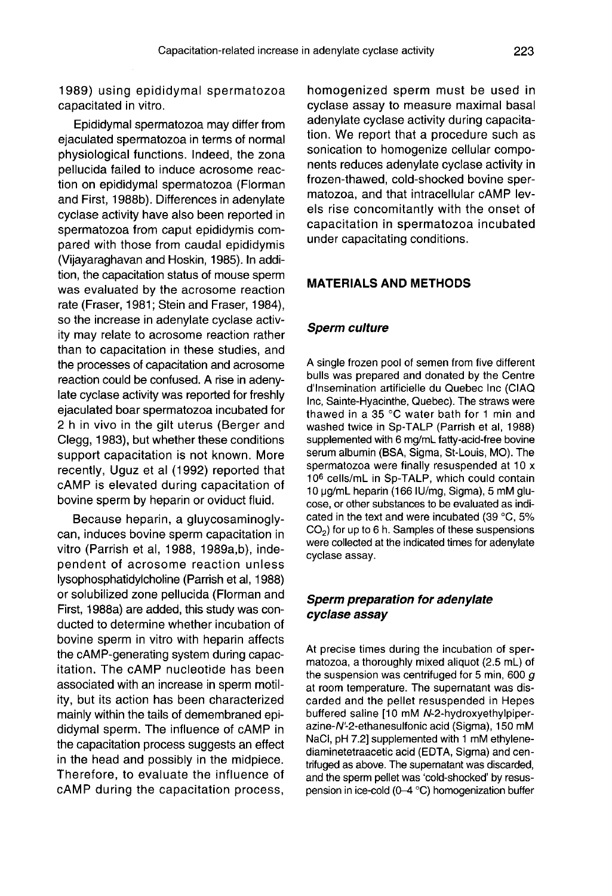1989) using epididymal spermatozoa capacitated in vitro.

Epididymal spermatozoa may differ from ejaculated spermatozoa in terms of normal physiological functions. Indeed, the zona pellucida failed to induce acrosome reaction on epididymal spermatozoa (Florman and First, 1988b). Differences in adenylate cyclase activity have also been reported in spermatozoa from caput epididymis compared with those from caudal epididymis (Vijayaraghavan and Hoskin, 1985). In addition, the capacitation status of mouse sperm was evaluated by the acrosome reaction rate (Fraser, 1981; Stein and Fraser, 1984), so the increase in adenylate cyclase activity may relate to acrosome reaction rather than to capacitation in these studies, and the processes of capacitation and acrosome reaction could be confused. A rise in adenylate cyclase activity was reported for freshly ejaculated boar spermatozoa incubated for 2 h in vivo in the gilt uterus (Berger and Clegg, 1983), but whether these conditions support capacitation is not known. More recently, Uguz et al (1992) reported that cAMP is elevated during capacitation of bovine sperm by heparin or oviduct fluid.

Because heparin, a gluycosaminogly can, induces bovine sperm capacitation in vitro (Parrish et al, 1988, 1989a,b), independent of acrosome reaction unless lysophosphatidylcholine (Parrish et al, 1988) or solubilized zone pellucida (Florman and First, 1988a) are added, this study was conducted to determine whether incubation of bovine sperm in vitro with heparin affects the cAMP-generating system during capacitation. The cAMP nucleotide has been associated with an increase in sperm motility, but its action has been characterized mainly within the tails of demembraned epididymal sperm. The influence of cAMP in the capacitation process suggests an effect in the head and possibly in the midpiece. Therefore, to evaluate the influence of cAMP during the capacitation process,

homogenized sperm must be used in cyclase assay to measure maximal basal adenylate cyclase activity during capacitation. We report that a procedure such as sonication to homogenize cellular components reduces adenylate cyclase activity in frozen-thawed, cold-shocked bovine spermatozoa, and that intracellular cAMP levels rise concomitantly with the onset of capacitation in spermatozoa incubated under capacitating conditions.

#### MATERIALS AND METHODS

#### Sperm culture

A single frozen pool of semen from five different bulls was prepared and donated by the Centre d'Insemination artificielle du Quebec Inc (CIAQ Inc, Sainte-Hyacinthe, Quebec). The straws were thawed in a 35 °C water bath for 1 min and washed twice in Sp-TALP (Parrish et al, 1988) supplemented with 6 mg/mL fatty-acid-free bovine serum albumin (BSA, Sigma, St-Louis, MO). The spermatozoa were finally resuspended at 10 x 106 cells/mL in Sp-TALP, which could contain 10 µg/mL heparin (166 IU/mg, Sigma), 5 mM glucose, or other substances to be evaluated as indicated in the text and were incubated (39  $^{\circ}$ C, 5% CO<sub>2</sub>) for up to 6 h. Samples of these suspensions were collected at the indicated times for adenylate cyclase assay.

# Sperm preparation for adenylate cyclase assay

At precise times during the incubation of spermatozoa, a thoroughly mixed aliquot (2.5 mL) of the suspension was centrifuged for 5 min, 600  $q$ at room temperature. The supernatant was discarded and the pellet resuspended in Hepes buffered saline [10 mM N-2-hydroxyethylpiperazine-N'-2-ethanesulfonic acid (Sigma), 150 mM NaCi, pH 7.2] supplemented with 1 mM ethylenediaminetetraacetic acid (EDTA, Sigma) and centrifuged as above. The supernatant was discarded, and the sperm pellet was 'cold-shocked' by resuspension in ice-cold (0-4 °C) homogenization buffer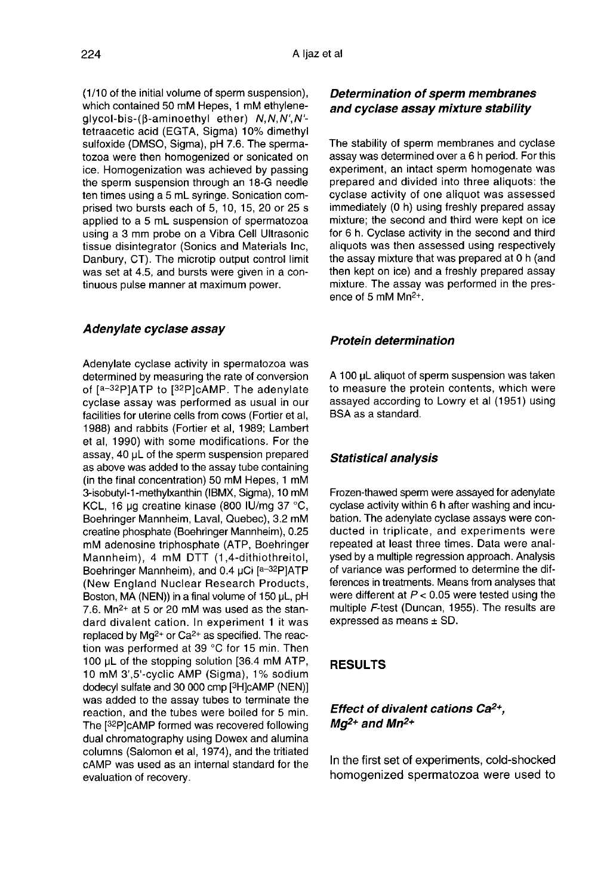(1/10 of the initial volume of sperm suspension), which contained 50 mM Hepes, 1 mM ethyleneglycol-bis-((3-aminoethyl ether) N,N,N',N' tetraacetic acid (EGTA, Sigma) 10% dimethyl sulfoxide (DMSO, Sigma), pH 7.6. The spermatozoa were then homogenized or sonicated on ice. Homogenization was achieved by passing the sperm suspension through an 18-G needle ten times using a 5 mL syringe. Sonication comprised two bursts each of 5, 10, 15, 20 or 25 s applied to a 5 mL suspension of spermatozoa using a 3 mm probe on a Vibra Cell Ultrasonic tissue disintegrator (Sonics and Materials Inc, Danbury, CT). The microtip output control limit was set at 4.5, and bursts were given in a continuous pulse manner at maximum power.

#### Adenylate cyclase assay

Adenylate cyclase activity in spermatozoa was determined by measuring the rate of conversion **Adenylate cyclase assay**<br>Adenylate cyclase activity in spermatozoa was<br>determined by measuring the rate of conversion<br>of [a-32P]ATP to [32P]cAMP. The adenylate<br>cyclase assay was performed as usual in our cyclase assay was performed as usual in our facilities for uterine cells from cows (Fortier et al, 1988) and rabbits (Fortier et al, 1989; Lambert et al, 1990) with some modifications. For the assay, 40 pL of the sperm suspension prepared as above was added to the assay tube containing (in the final concentration) 50 mM Hepes, 1 mM 3-isobutyl-1-methylxanthin (IBMX, Sigma), 10 mM KCL, 16 µg creatine kinase (800 IU/mg 37 °C, Boehringer Mannheim, Laval, Quebec), 3.2 mM creatine phosphate (Boehringer Mannheim), 0.25 mM adenosine triphosphate (ATP, Boehringer Mannheim), 4 mM DTT (1,4-dithiothreitol, Boehringer Mannheim), and 0.4 µCi [a-32P]ATP (New England Nuclear Research Products, Boston, MA (NEN)) in a final volume of 150  $\mu$ L, pH 7.6. Mn<sup>2+</sup> at 5 or 20 mM was used as the stan $d$ , o. win-1 at 3 or 20 mm was used as the star-<br>dard divalent cation. In experiment 1 it was<br>replaced by Mg<sup>2+</sup> or Ca<sup>2+</sup> as specified. The reaction was performed at 39 °C for 15 min. Then 100  $\mu$ L of the stopping solution [36.4 mM ATP, 100 uL of the stopping solution [36.4 mM ATP, 10 mM 3',5'-cyclic AMP (Sigma), 1 % sodium replaced by Mg<sup>2+</sup> or Ca<sup>2+</sup> as specified. The read-<br>tion was performed at 39 °C for 15 min. Then<br>100  $\mu$ L of the stopping solution [36.4 mM ATP,<br>10 mM 3',5'-cyclic AMP (Sigma), 1% sodium<br>dodecyl sulfate and 30 000 cmp [ reaction, and the tubes were boiled for 5 min. 10 mM 3',5'-cyclic AMP (Sigma), 1% sodium dodecyl sulfate and 30 000 cmp [<sup>3</sup>H]cAMP (NEN)] was added to the assay tubes to terminate the reaction, and the tubes were boiled for 5 min. The [<sup>32</sup>P]cAMP formed was recovered dual chromatography using Dowex and alumina columns (Salomon et al, 1974), and the tritiated cAMP was used as an internal standard for the evaluation of recovery.

# Determination of sperm membranes and cyclase assay mixture stability

The stability of sperm membranes and cyclase assay was determined over a 6 h period. For this experiment, an intact sperm homogenate was prepared and divided into three aliquots: the cyclase activity of one aliquot was assessed immediately (0 h) using freshly prepared assay mixture; the second and third were kept on ice for 6 h. Cyclase activity in the second and third aliquots was then assessed using respectively the assay mixture that was prepared at 0 h (and then kept on ice) and a freshly prepared assay mixture. The assay was performed in the presence of 5 mM Mn2+.

#### Protein determination

A 100 pL aliquot of sperm suspension was taken to measure the protein contents, which were assayed according to Lowry et al (1951) using BSA as a standard.

## Statistical analysis

Frozen-thawed sperm were assayed for adenylate cyclase activity within 6 h after washing and incubation. The adenylate cyclase assays were conducted in triplicate, and experiments were repeated at least three times. Data were analysed by a multiple regression approach. Analysis of variance was performed to determine the differences in treatments. Means from analyses that were different at  $P < 0.05$  were tested using the multiple F-test (Duncan, 1955). The results are expressed as means ± SD.

# RESULTS

# Effect of divalent cations Ca<sup>2+</sup>, Effect of divale<br>Mg<sup>2+</sup> and Mn<sup>2+</sup>

In the first set of experiments, cold-shocked homogenized spermatozoa were used to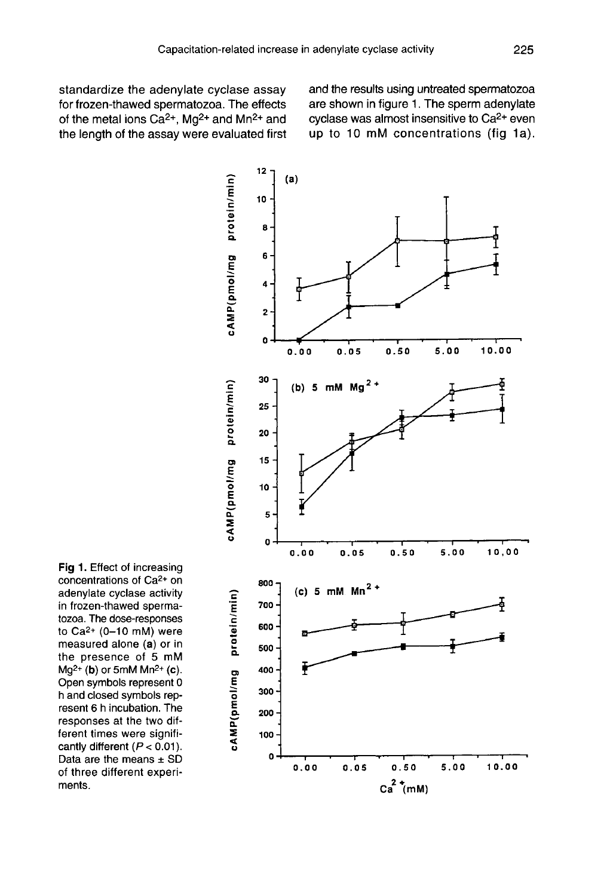standardize the adenylate cyclase assay for frozen-thawed spermatozoa. The effects of the metal ions  $Ca^{2+}$ , Mg<sup>2+</sup> and Mn<sup>2+</sup> and the length of the assay were evaluated first and the results using untreated spermatozoa are shown in figure 1. The sperm adenylate cyclase was almost insensitive to Ca2+ even up to 10 mM concentrations (fig 1a).



Fig 1. Effect of increasing concentrations of Ca<sup>2+</sup> on adenylate cyclase activity in frozen-thawed spermatozoa. The dose-responses to  $Ca^{2+}$  (0-10 mM) were measured alone (a) or in the presence of 5 mM  $Mq^{2+}$  (b) or 5mM  $Mn^{2+}$  (c). Open symbols represent 0 h and closed symbols represent 6 h incubation. The responses at the two different times were significantly different ( $P < 0.01$ ). Data are the means  $\pm$  SD of three different experiments.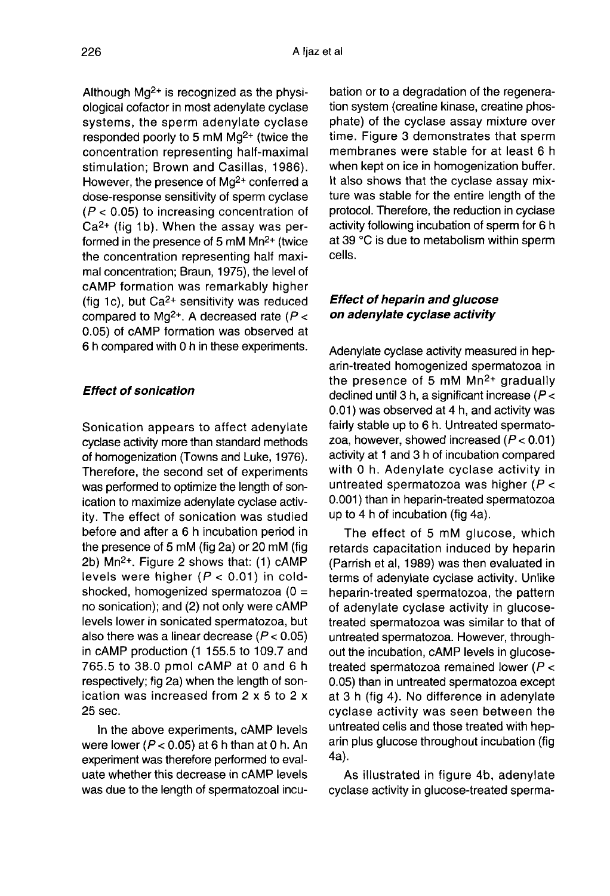Although  $Ma^{2+}$  is recognized as the physiological cofactor in most adenylate cyclase systems, the sperm adenylate cyclase responded poorly to 5 mM Mg2+ (twice the concentration representing half-maximal stimulation; Brown and Casillas, 1986). However, the presence of Mg<sup>2+</sup> conferred a dose-response sensitivity of sperm cyclase  $(P < 0.05)$  to increasing concentration of  $Ca<sup>2+</sup>$  (fig 1b). When the assay was performed in the presence of 5 mM Mn2+ (twice the concentration representing half maximal concentration; Braun, 1975), the level of cAMP formation was remarkably higher cAMP formation was remarkably higher<br>(fig 1c), but Ca<sup>2+</sup> sensitivity was reduced<br>compared to Mg<sup>2+</sup>. A decreased rate (*P <*<br>0.05) of cAMP formation was observed at 0.05) of cAMP formation was observed at 6 h compared with 0 h in these experiments.

## Effect of sonication

Sonication appears to affect adenylate cyclase activity more than standard methods of homogenization (Towns and Luke, 1976). Therefore, the second set of experiments was performed to optimize the length of sonication to maximize adenylate cyclase activity. The effect of sonication was studied before and after a 6 h incubation period in the presence of 5 mM (fig 2a) or 20 mM (fig before and after a 6 h incubation period in<br>the presence of 5 mM (fig 2a) or 20 mM (fig<br>2b) Mn<sup>2+</sup>. Figure 2 shows that: (1) cAMP<br>lavela ware bigher (*R s* 0.01) in eald levels were higher  $(P < 0.01)$  in coldshocked, homogenized spermatozoa (0 = no sonication); and (2) not only were cAMP levels lower in sonicated spermatozoa, but also there was a linear decrease  $(P < 0.05)$ in cAMP production (1 155.5 to 109.7 and 765.5 to 38.0 pmol cAMP at 0 and 6 h respectively; fig 2a) when the length of sonication was increased from 2 x 5 to 2 x 25 sec.

In the above experiments, cAMP levels were lower ( $P < 0.05$ ) at 6 h than at 0 h. An experiment was therefore performed to evaluate whether this decrease in cAMP levels was due to the length of spermatozoal incubation or to a degradation of the regeneration system (creatine kinase, creatine phosphate) of the cyclase assay mixture over time. Figure 3 demonstrates that sperm membranes were stable for at least 6 h when kept on ice in homogenization buffer. It also shows that the cyclase assay mixture was stable for the entire length of the protocol. Therefore, the reduction in cyclase activity following incubation of sperm for 6 h at 39 °C is due to metabolism within sperm cells.

# Effect of heparin and glucose on adenylate cyclase activity

Adenylate cyclase activity measured in heparin-treated homogenized spermatozoa in the presence of 5 mM  $Mn^{2+}$  gradually declined until 3 h, a significant increase ( $P <$ 0.01) was observed at 4 h, and activity was fairly stable up to 6 h. Untreated spermatozoa, however, showed increased  $(P < 0.01)$ activity at 1 and 3 h of incubation compared with 0 h. Adenylate cyclase activity in untreated spermatozoa was higher ( $P <$ 0.001) than in heparin-treated spermatozoa up to 4 h of incubation (fig 4a).

The effect of 5 mM glucose, which retards capacitation induced by heparin (Parrish et al, 1989) was then evaluated in terms of adenylate cyclase activity. Unlike heparin-treated spermatozoa, the pattern of adenylate cyclase activity in glucosetreated spermatozoa was similar to that of untreated spermatozoa. However, throughout the incubation, cAMP levels in glucosetreated spermatozoa remained lower (P < 0.05) than in untreated spermatozoa except at 3 h (fig 4). No difference in adenylate cyclase activity was seen between the untreated cells and those treated with heparin plus glucose throughout incubation (fig 4a).

As illustrated in figure 4b, adenylate cyclase activity in glucose-treated sperma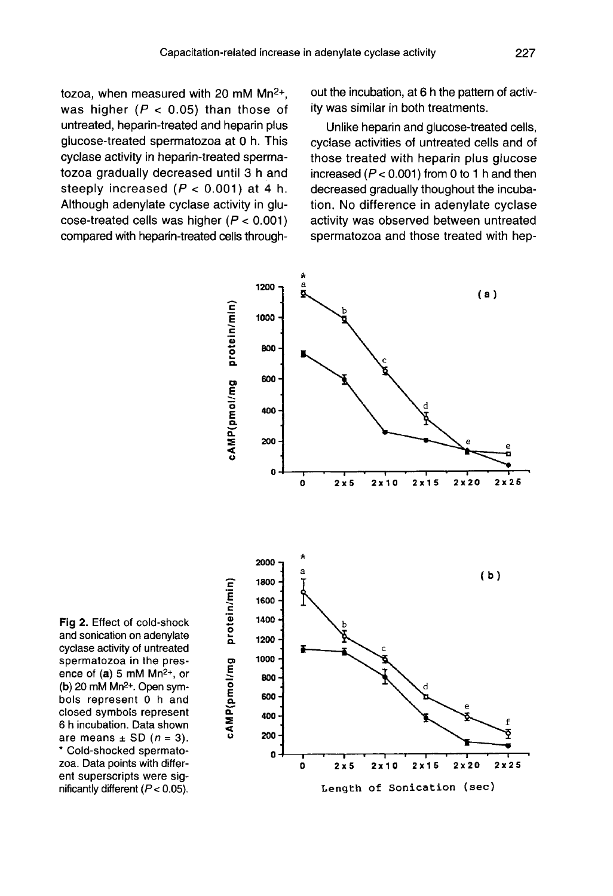tozoa, when measured with 20 mM Mn<sup>2+</sup>, was higher ( $P < 0.05$ ) than those of untreated, heparin-treated and heparin plus glucose-treated spermatozoa at 0 h. This cyclase activity in heparin-treated spermatozoa gradually decreased until 3 h and steeply increased  $(P < 0.001)$  at 4 h. Although adenylate cyclase activity in glucose-treated cells was higher  $(P < 0.001)$ compared with heparin-treated cells throughout the incubation, at 6 h the pattern of activity was similar in both treatments.

Unlike heparin and glucose-treated cells, cyclase activities of untreated cells and of those treated with heparin plus glucose increased  $(P < 0.001)$  from 0 to 1 h and then decreased gradually thoughout the incubation. No difference in adenylate cyclase activity was observed between untreated spermatozoa and those treated with hep-



Fig 2. Effect of cold-shock and sonication on adenylate cyclase activity of untreated spermatozoa in the presence of  $(a)$  5 mM Mn<sup>2+</sup>, or (b)  $20 \text{ mM Mn}^2$ +. Open symbols represent 0 h and closed symbols represent 6 h incubation. Data shown are means  $\pm$  SD ( $n = 3$ ). \* Cold-shocked spermatozoa. Data points with different superscripts were significantly different  $(P < 0.05)$ .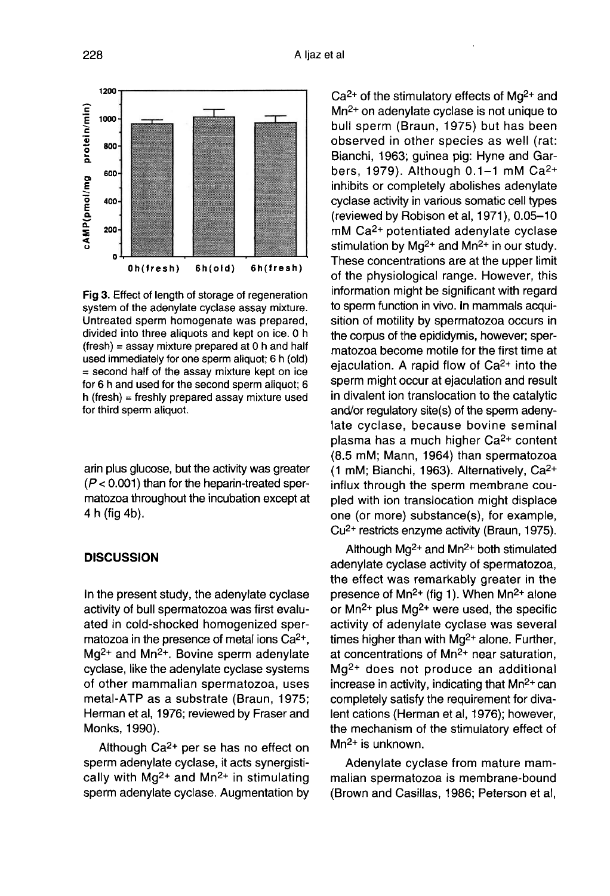

Fig 3. Effect of length of storage of regeneration system of the adenvlate cyclase assay mixture. Untreated sperm homogenate was prepared, divided into three aliquots and kept on ice. 0 h  $(fresh)$  = assay mixture prepared at 0 h and half used immediately for one sperm aliquot; 6 h (old) = second half of the assay mixture kept on ice for 6 h and used for the second sperm aliquot; 6  $h$  (fresh) = freshly prepared assay mixture used for third sperm aliquot.

arin plus glucose, but the activity was greater  $(P < 0.001)$  than for the heparin-treated spermatozoa throughout the incubation except at 4 h (fig 4b).

# **DISCUSSION**

In the present study, the adenylate cyclase activity of bull spermatozoa was first evaluated in cold-shocked homogenized speractivity of bull spermatozoa was first evaluated in cold-shocked homogenized spermatozoa in the presence of metal ions  $Ca^{2+}$ ,  $Mg^{2+}$  and  $Mn^{2+}$ . Bovine sperm adenylate cyclase, like the adenylate cyclase systems of other mammalian spermatozoa, uses metal-ATP as a substrate (Braun, 1975; Herman et al, 1976; reviewed by Fraser and Monks, 1990).

Although Ca2+ per se has no effect on sperm adenylate cyclase, it acts synergistically with  $Mq^{2+}$  and  $Mn^{2+}$  in stimulating sperm adenylate cyclase. Augmentation by

 $Ca<sup>2+</sup>$  of the stimulatory effects of Mg<sup>2+</sup> and Mn<sup>2+</sup> on adenylate cyclase is not unique to bull sperm (Braun, 1975) but has been observed in other species as well (rat: Bianchi, 1963; guinea pig: Hyne and Garobserved in other species as well (rat:<br>Bianchi, 1963; guinea pig: Hyne and Gar-<br>bers, 1979). Although 0.1–1 mM Ca<sup>2+</sup><br>inhibite as completely abeliable a glaminist inhibits or completely abolishes adenylate cyclase activity in various somatic cell types (reviewed by Robison et al,  $1971$ ),  $0.05-10$ mM Ca2+ potentiated adenylate cyclase stimulation by  $Mq^{2+}$  and  $Mn^{2+}$  in our study. These concentrations are at the upper limit of the physiological range. However, this information might be significant with regard to sperm function in vivo. In mammals acquisition of motility by spermatozoa occurs in the corpus of the epididymis, however; spermatozoa become motile for the first time at ejaculation. A rapid flow of Ca<sup>2+</sup> into the sperm might occur at ejaculation and result in divalent ion translocation to the catalytic and/or regulatory site(s) of the sperm adenylate cyclase, because bovine seminal plasma has a much higher Ca2+ content (8.5 mM; Mann, 1964) than spermatozoa (1 mM; Bianchi, 1963). Alternatively, Ca2+ influx through the sperm membrane coupled with ion translocation might displace one (or more) substance(s), for example, Cu2+ restricts enzyme activity (Braun, 1975).

Although  $Ma^{2+}$  and  $Mn^{2+}$  both stimulated adenylate cyclase activity of spermatozoa, the effect was remarkably greater in the presence of  $Mn^{2+}$  (fig 1). When  $Mn^{2+}$  alone or  $Mn^{2+}$  plus  $Mg^{2+}$  were used, the specific activity of adenylate cyclase was several times higher than with Mg<sup>2+</sup> alone. Further, at concentrations of Mn<sup>2+</sup> near saturation, Mg2+ does not produce an additional increase in activity, indicating that  $Mn^{2+}$  can completely satisfy the requirement for divalent cations (Herman et al, 1976); however, the mechanism of the stimulatory effect of Mn<sup>2+</sup> is unknown.

Adenylate cyclase from mature mammalian spermatozoa is membrane-bound (Brown and Casillas, 1986; Peterson et al,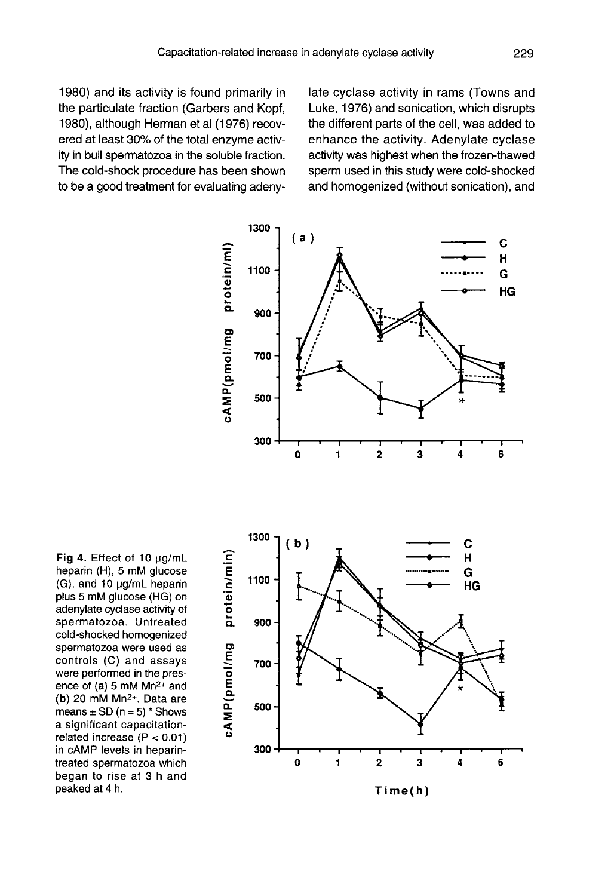1980) and its activity is found primarily in the particulate fraction (Garbers and Kopf, 1980), although Herman et al (1976) recovered at least 30% of the total enzyme activity in bull spermatozoa in the soluble fraction. The cold-shock procedure has been shown to be a good treatment for evaluating adenylate cyclase activity in rams (Towns and Luke, 1976) and sonication, which disrupts the different parts of the cell, was added to enhance the activity. Adenylate cyclase activity was highest when the frozen-thawed sperm used in this study were cold-shocked and homogenized (without sonication), and



Fig 4. Effect of 10 µg/mL heparin (H), 5 mM glucose (G), and 10 µg/mL heparin plus 5 mM glucose (HG) on adenylate cyclase activity of spermatozoa. Untreated cold-shocked homogenized spermatozoa were used as controls (C) and assays were performed in the presence of  $(a)$  5 mM Mn<sup>2+</sup> and (b) 20 mM  $Mn^{2+}$ . Data are means  $\pm$  SD (n = 5) \* Shows a significant capacitationrelated increase ( $P < 0.01$ ) in cAMP levels in heparintreated spermatozoa which began to rise at 3 h and peaked at 4 h.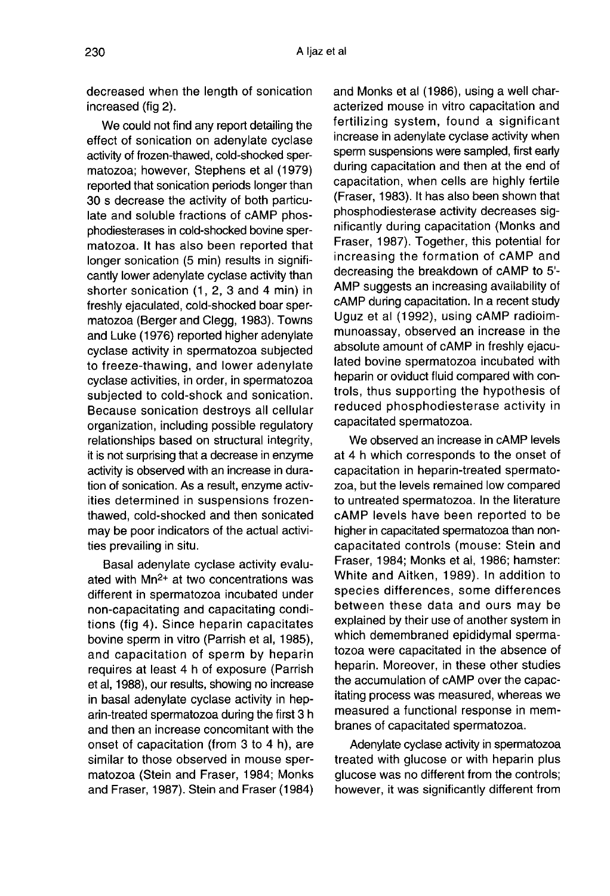decreased when the length of sonication increased (fig 2).

We could not find any report detailing the effect of sonication on adenylate cyclase activity of frozen-thawed, cold-shocked spermatozoa; however, Stephens et al (1979) reported that sonication periods longer than 30 s decrease the activity of both particulate and soluble fractions of cAMP phosphodiesterases in cold-shocked bovine spermatozoa. It has also been reported that longer sonication (5 min) results in significantly lower adenylate cyclase activity than shorter sonication (1, 2, 3 and 4 min) in freshly ejaculated, cold-shocked boar spermatozoa (Berger and Clegg, 1983). Towns and Luke (1976) reported higher adenylate cyclase activity in spermatozoa subjected to freeze-thawing, and lower adenylate cyclase activities, in order, in spermatozoa subjected to cold-shock and sonication. Because sonication destroys all cellular organization, including possible regulatory relationships based on structural integrity, it is not surprising that a decrease in enzyme activity is observed with an increase in duration of sonication. As a result, enzyme activities determined in suspensions frozenthawed, cold-shocked and then sonicated may be poor indicators of the actual activities prevailing in situ.

Basal adenylate cyclase activity evaluated with Mn2+ at two concentrations was different in spermatozoa incubated under non-capacitating and capacitating conditions (fig 4). Since heparin capacitates bovine sperm in vitro (Parrish et al, 1985), and capacitation of sperm by heparin requires at least 4 h of exposure (Parrish et al, 1988), our results, showing no increase in basal adenylate cyclase activity in heparin-treated spermatozoa during the first 3 h and then an increase concomitant with the onset of capacitation (from 3 to 4 h), are similar to those observed in mouse spermatozoa (Stein and Fraser, 1984; Monks and Fraser, 1987). Stein and Fraser (1984) and Monks et al (1986), using a well characterized mouse in vitro capacitation and fertilizing system, found a significant increase in adenylate cyclase activity when sperm suspensions were sampled, first early during capacitation and then at the end of capacitation, when cells are highly fertile (Fraser, 1983). It has also been shown that phosphodiesterase activity decreases significantly during capacitation (Monks and Fraser, 1987). Together, this potential for increasing the formation of cAMP and decreasing the breakdown of cAMP to 5'- AMP suggests an increasing availability of cAMP during capacitation. In a recent study Uguz et al (1992), using cAMP radioimmunoassay, observed an increase in the absolute amount of cAMP in freshly ejaculated bovine spermatozoa incubated with heparin or oviduct fluid compared with controls, thus supporting the hypothesis of reduced phosphodiesterase activity in capacitated spermatozoa.

We observed an increase in cAMP levels at 4 h which corresponds to the onset of capacitation in heparin-treated spermatozoa, but the levels remained low compared to untreated spermatozoa. In the literature cAMP levels have been reported to be higher in capacitated spermatozoa than noncapacitated controls (mouse: Stein and Fraser, 1984; Monks et al, 1986; hamster: White and Aitken, 1989). In addition to species differences, some differences between these data and ours may be explained by their use of another system in which demembraned epididymal spermatozoa were capacitated in the absence of heparin. Moreover, in these other studies the accumulation of cAMP over the capacitating process was measured, whereas we measured a functional response in membranes of capacitated spermatozoa.

Adenylate cyclase activity in spermatozoa treated with glucose or with heparin plus glucose was no different from the controls; however, it was significantly different from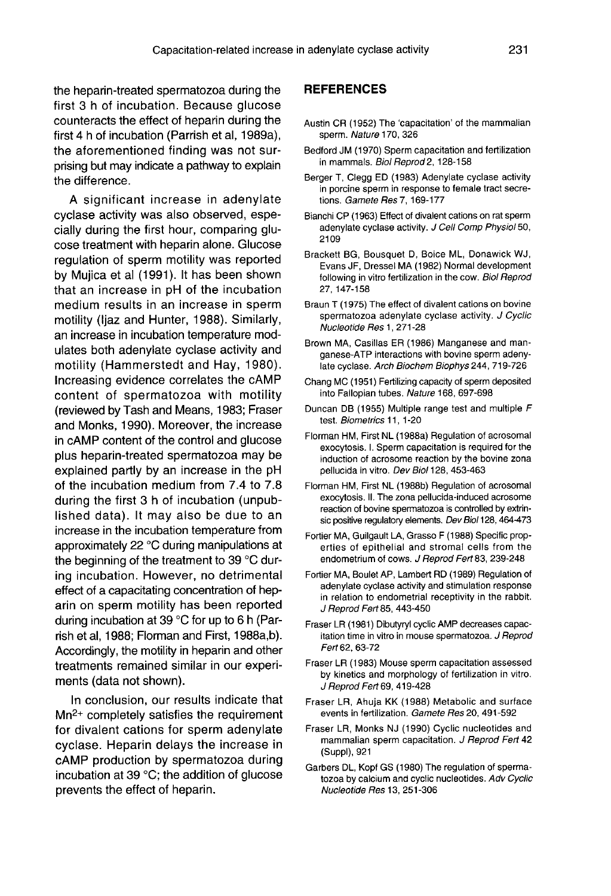the heparin-treated spermatozoa during the first 3 h of incubation. Because glucose counteracts the effect of heparin during the first 4 h of incubation (Parrish et al, 1989a), the aforementioned finding was not surprising but may indicate a pathway to explain the difference.

A significant increase in adenylate cyclase activity was also observed, especially during the first hour, comparing glu cose treatment with heparin alone. Glucose regulation of sperm motility was reported by Mujica et al (1991). It has been shown that an increase in pH of the incubation medium results in an increase in sperm motility (Ijaz and Hunter, 1988). Similarly, an increase in incubation temperature modulates both adenylate cyclase activity and motility (Hammerstedt and Hay, 1980). Increasing evidence correlates the cAMP content of spermatozoa with motility (reviewed by Tash and Means, 1983; Fraser and Monks, 1990). Moreover, the increase in cAMP content of the control and glucose plus heparin-treated spermatozoa may be explained partly by an increase in the pH of the incubation medium from 7.4 to 7.8 during the first 3 h of incubation (unpublished data). It may also be due to an increase in the incubation temperature from approximately 22 °C during manipulations at the beginning of the treatment to 39 °C during incubation. However, no detrimental effect of a capacitating concentration of heparin on sperm motility has been reported during incubation at 39 °C for up to 6 h (Parrish et al, 1988; Florman and First, 1988a,b). Accordingly, the motility in heparin and other treatments remained similar in our experiments (data not shown).

In conclusion, our results indicate that Mn2+ completely satisfies the requirement for divalent cations for sperm adenylate cyclase. Heparin delays the increase in cAMP production by spermatozoa during incubation at 39 °C; the addition of glucose prevents the effect of heparin.

#### REFERENCES

- Austin CR (1952) The 'capacitation' of the mammalian sperm. Nature 170, 326
- Bedford JM (1970) Sperm capacitation and fertilization in mammals. Biol Reprod 2, 128-158
- Berger T, Clegg ED (1983) Adenylate cyclase activity in porcine sperm in response to female tract secretions. Gamete Res 7, 169-177
- Bianchi CP (1963) Effect of divalent cations on rat sperm adenylate cyclase activity. J Cell Comp Physiol 50, 2109
- Brackett BG, Bousquet D, Boice ML, Donawick WJ, Evans JF, Dressel MA (1982) Normal development following in vitro fertilization in the cow. Biol Reprod 27, 147-158
- Braun T (1975) The effect of divalent cations on bovine spermatozoa adenylate cyclase activity. J Cyclic Nucleotide Res 1, 271-28
- Brown MA, Casillas ER (1986) Manganese and manganese-ATP interactions with bovine sperm adeny late cyclase. Arch Biochem Biophys 244, 719-726
- Chang MC (1951) Fertilizing capacity of sperm deposited into Fallopian tubes. Nature 168, 697-698
- Duncan DB (1955) Multiple range test and multiple F test. Biometrics 11, 1-20
- Florman HM, First NL (1988a) Regulation of acrosomal exocytosis. I. Sperm capacitation is required for the induction of acrosome reaction by the bovine zona pellucida in vitro. Dev Biol 128, 453-463
- Florman HM, First NL (1988b) Regulation of acrosomal exocytosis. II. The zona pellucida-induced acrosome reaction of bovine spermatozoa is controlled by extrinsic positive regulatory elements. Dev Biol 128, 464-473
- Fortier MA, Guilgault LA, Grasso F (1988) Specific properties of epithelial and stromal cells from the endometrium of cows. J Reprod Fert 83, 239-248
- Fortier MA, Boulet AP, Lambert RD (1989) Regulation of adenylate cyclase activity and stimulation response in relation to endometrial receptivity in the rabbit. J Reprod Fert 85, 443-450
- Fraser LR (1981) Dibutyryl cyclic AMP decreases capacitation time in vitro in mouse spermatozoa. J Reprod Fert 62, 63-72
- Fraser LR (1983) Mouse sperm capacitation assessed by kinetics and morphology of fertilization in vitro. J Reprod Fert 69, 419-428
- Fraser LR, Ahuja KK (1988) Metabolic and surface events in fertilization. Gamete Res 20, 491-592
- Fraser LR, Monks NJ (1990) Cyclic nucleotides and mammalian sperm capacitation. J Reprod Fert 42 (Suppl), 921
- Garbers DL, Kopf GS (1980) The regulation of spermatozoa by calcium and cyclic nucleotides. Adv Cyclic Nucleotide Res 13, 251-306